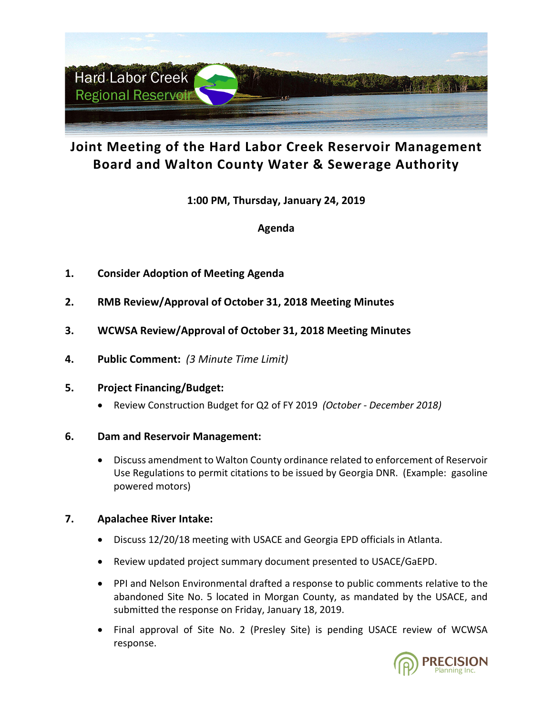

# **Joint Meeting of the Hard Labor Creek Reservoir Management Board and Walton County Water & Sewerage Authority**

**1:00 PM, Thursday, January 24, 2019**

**Agenda**

- **1. Consider Adoption of Meeting Agenda**
- **2. RMB Review/Approval of October 31, 2018 Meeting Minutes**
- **3. WCWSA Review/Approval of October 31, 2018 Meeting Minutes**
- **4. Public Comment:** *(3 Minute Time Limit)*

### **5. Project Financing/Budget:**

• Review Construction Budget for Q2 of FY 2019 *(October - December 2018)*

## **6. Dam and Reservoir Management:**

• Discuss amendment to Walton County ordinance related to enforcement of Reservoir Use Regulations to permit citations to be issued by Georgia DNR. (Example: gasoline powered motors)

## **7. Apalachee River Intake:**

- Discuss 12/20/18 meeting with USACE and Georgia EPD officials in Atlanta.
- Review updated project summary document presented to USACE/GaEPD.
- PPI and Nelson Environmental drafted a response to public comments relative to the abandoned Site No. 5 located in Morgan County, as mandated by the USACE, and submitted the response on Friday, January 18, 2019.
- Final approval of Site No. 2 (Presley Site) is pending USACE review of WCWSA response.